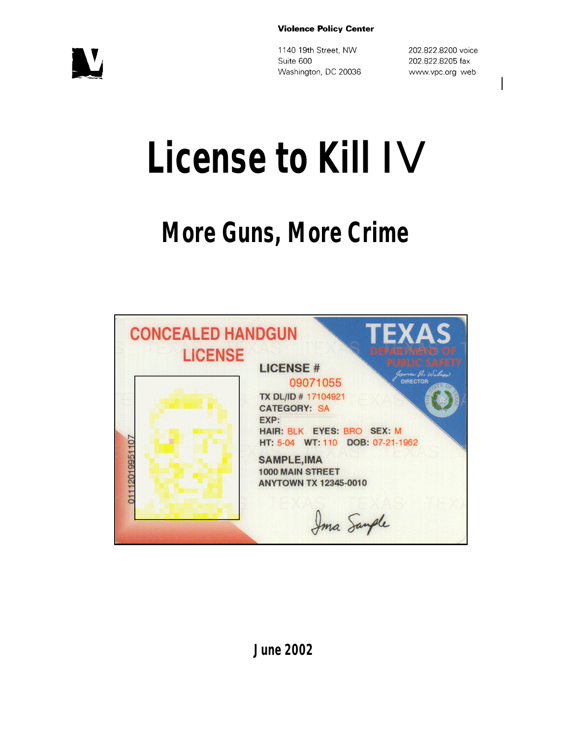#### **Violence Policy Center**

 $\mathbf{U}$ 

1140 19th Street, NW Suite 600 Washington, DC 20036 202.822.8200 voice 202.822.8205 fax www.vpc.org web

# **License to Kill** IV

# **More Guns, More Crime**



**June 2002**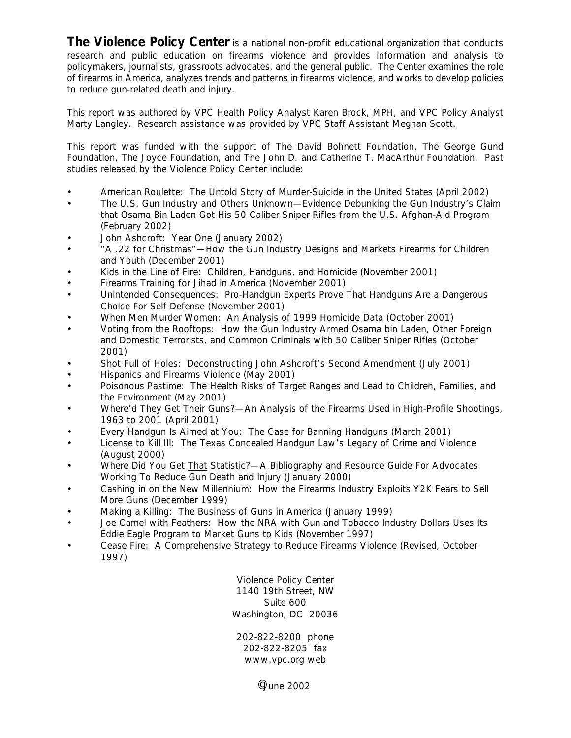**The Violence Policy Center** is a national non-profit educational organization that conducts research and public education on firearms violence and provides information and analysis to policymakers, journalists, grassroots advocates, and the general public. The Center examines the role of firearms in America, analyzes trends and patterns in firearms violence, and works to develop policies to reduce gun-related death and injury.

This report was authored by VPC Health Policy Analyst Karen Brock, MPH, and VPC Policy Analyst Marty Langley. Research assistance was provided by VPC Staff Assistant Meghan Scott.

This report was funded with the support of The David Bohnett Foundation, The George Gund Foundation, The Joyce Foundation, and The John D. and Catherine T. MacArthur Foundation. Past studies released by the Violence Policy Center include:

- *American Roulette: The Untold Story of Murder-Suicide in the United States* (April 2002)
- *The U.S. Gun Industry and Others Unknown—Evidence Debunking the Gun Industry's Claim that Osama Bin Laden Got His 50 Caliber Sniper Rifles from the U.S. Afghan-Aid Program* (February 2002)
- *John Ashcroft: Year One* (January 2002)
- *"A .22 for Christmas"—How the Gun Industry Designs and Markets Firearms for Children and Youth* (December 2001)
- *Kids in the Line of Fire: Children, Handguns, and Homicide* (November 2001)
- *Firearms Training for Jihad in America* (November 2001)
- *Unintended Consequences: Pro-Handgun Experts Prove That Handguns Are a Dangerous Choice For Self-Defense* (November 2001)
- *When Men Murder Women: An Analysis of 1999 Homicide Data* (October 2001)
- *Voting from the Rooftops: How the Gun Industry Armed Osama bin Laden, Other Foreign and Domestic Terrorists, and Common Criminals with 50 Caliber Sniper Rifles* (October 2001)
- *Shot Full of Holes: Deconstructing John Ashcroft's Second Amendment* (July 2001)
- *Hispanics and Firearms Violence* (May 2001)
- *Poisonous Pastime: The Health Risks of Target Ranges and Lead to Children, Families, and the Environment* (May 2001)
- *Where'd They Get Their Guns?—An Analysis of the Firearms Used in High-Profile Shootings, 1963 to 2001* (April 2001)
- *Every Handgun Is Aimed at You: The Case for Banning Handguns* (March 2001)
- *License to Kill III: The Texas Concealed Handgun Law's Legacy of Crime and Violence* (August 2000)
- *Where Did You Get That Statistic?*—*A Bibliography and Resource Guide For Advocates Working To Reduce Gun Death and Injury* (January 2000)
- *Cashing in on the New Millennium: How the Firearms Industry Exploits Y2K Fears to Sell More Guns* (December 1999)
- *Making a Killing: The Business of Guns in America* (January 1999)
- *Joe Camel with Feathers: How the NRA with Gun and Tobacco Industry Dollars Uses Its Eddie Eagle Program to Market Guns to Kids* (November 1997)
- *Cease Fire: A Comprehensive Strategy to Reduce Firearms Violence* (Revised, October 1997)

Violence Policy Center 1140 19th Street, NW Suite 600 Washington, DC 20036

202-822-8200 phone 202-822-8205 fax www.vpc.org web

 $^{\circ}$ June 2002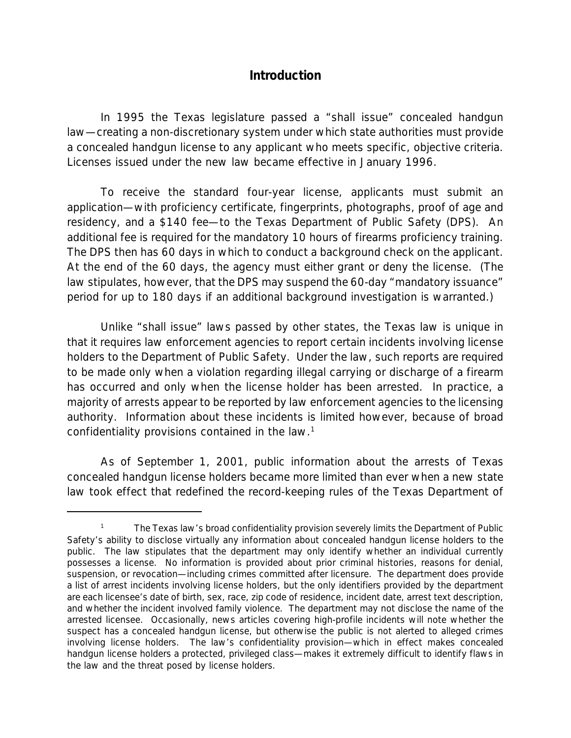### **Introduction**

In 1995 the Texas legislature passed a "shall issue" concealed handgun law—creating a non-discretionary system under which state authorities *must* provide a concealed handgun license to any applicant who meets specific, objective criteria. Licenses issued under the new law became effective in January 1996.

To receive the standard four-year license, applicants must submit an application—with proficiency certificate, fingerprints, photographs, proof of age and residency, and a \$140 fee—to the Texas Department of Public Safety (DPS). An additional fee is required for the mandatory 10 hours of firearms proficiency training. The DPS then has 60 days in which to conduct a background check on the applicant. At the end of the 60 days, the agency must either grant or deny the license. (The law stipulates, however, that the DPS may suspend the 60-day "mandatory issuance" period for up to 180 days if an additional background investigation is warranted.)

Unlike "shall issue" laws passed by other states, the Texas law is unique in that it requires law enforcement agencies to report certain incidents involving license holders to the Department of Public Safety. Under the law, such reports are required to be made only when a violation regarding illegal carrying or discharge of a firearm has occurred and only when the license holder has been arrested. In practice, a majority of arrests appear to be reported by law enforcement agencies to the licensing authority. Information about these incidents is limited however, because of broad confidentiality provisions contained in the law.<sup>1</sup>

As of September 1, 2001, public information about the arrests of Texas concealed handgun license holders became more limited than ever when a new state law took effect that redefined the record-keeping rules of the Texas Department of

<sup>1</sup> The Texas law's broad confidentiality provision severely limits the Department of Public Safety's ability to disclose virtually any information about concealed handgun license holders to the public. The law stipulates that the department may only identify whether an individual currently possesses a license. No information is provided about prior criminal histories, reasons for denial, suspension, or revocation—including crimes committed after licensure. The department does provide a list of arrest incidents involving license holders, but the only identifiers provided by the department are each licensee's date of birth, sex, race, zip code of residence, incident date, arrest text description, and whether the incident involved family violence. The department may not disclose the name of the arrested licensee. Occasionally, news articles covering high-profile incidents will note whether the suspect has a concealed handgun license, but otherwise the public is not alerted to alleged crimes involving license holders. The law's confidentiality provision—which in effect makes concealed handgun license holders a protected, privileged class—makes it extremely difficult to identify flaws in the law and the threat posed by license holders.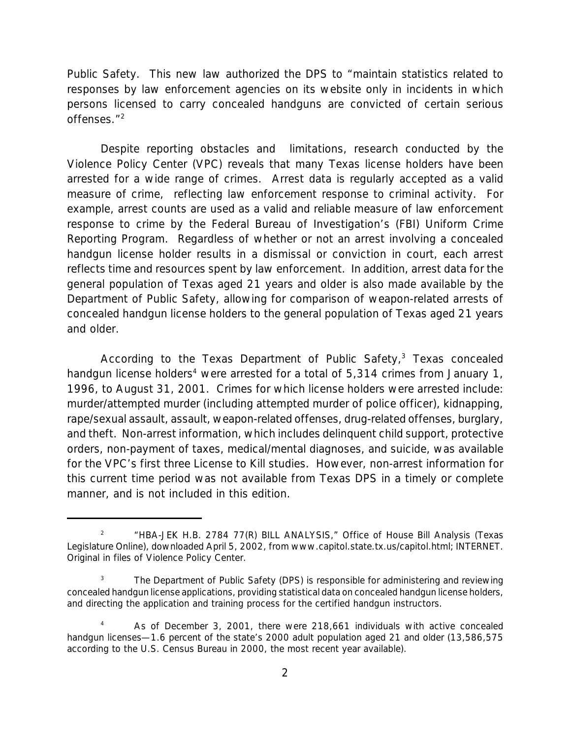Public Safety. This new law authorized the DPS to "maintain statistics related to responses by law enforcement agencies on its website only in incidents in which persons licensed to carry concealed handguns are convicted of certain serious offenses."<sup>2</sup>

Despite reporting obstacles and limitations, research conducted by the Violence Policy Center (VPC) reveals that many Texas license holders have been arrested for a wide range of crimes. Arrest data is regularly accepted as a valid measure of crime, reflecting law enforcement response to criminal activity. For example, arrest counts are used as a valid and reliable measure of law enforcement response to crime by the Federal Bureau of Investigation's (FBI) Uniform Crime Reporting Program. Regardless of whether or not an arrest involving a concealed handgun license holder results in a dismissal or conviction in court, each arrest reflects time and resources spent by law enforcement. In addition, arrest data for the general population of Texas aged 21 years and older is also made available by the Department of Public Safety, allowing for comparison of weapon-related arrests of concealed handgun license holders to the general population of Texas aged 21 years and older.

According to the Texas Department of Public Safety,<sup>3</sup> Texas concealed handgun license holders<sup>4</sup> were arrested for a total of 5,314 crimes from January 1, 1996, to August 31, 2001. Crimes for which license holders were arrested include: murder/attempted murder (including attempted murder of police officer), kidnapping, rape/sexual assault, assault, weapon-related offenses, drug-related offenses, burglary, and theft. Non-arrest information, which includes delinquent child support, protective orders, non-payment of taxes, medical/mental diagnoses, and suicide, was available for the VPC's first three *License to Kill* studies. However, non-arrest information for this current time period was not available from Texas DPS in a timely or complete manner, and is not included in this edition.

 $\overline{2}$ "HBA-JEK H.B. 2784 77(R) BILL ANALYSIS," Office of House Bill Analysis (Texas Legislature Online), downloaded April 5, 2002, from www.capitol.state.tx.us/capitol.html; INTERNET. Original in files of Violence Policy Center.

<sup>&</sup>lt;sup>3</sup> The Department of Public Safety (DPS) is responsible for administering and reviewing concealed handgun license applications, providing statistical data on concealed handgun license holders, and directing the application and training process for the certified handgun instructors.

As of December 3, 2001, there were 218,661 individuals with active concealed handgun licenses—1.6 percent of the state's 2000 adult population aged 21 and older (13,586,575 according to the U.S. Census Bureau in 2000, the most recent year available).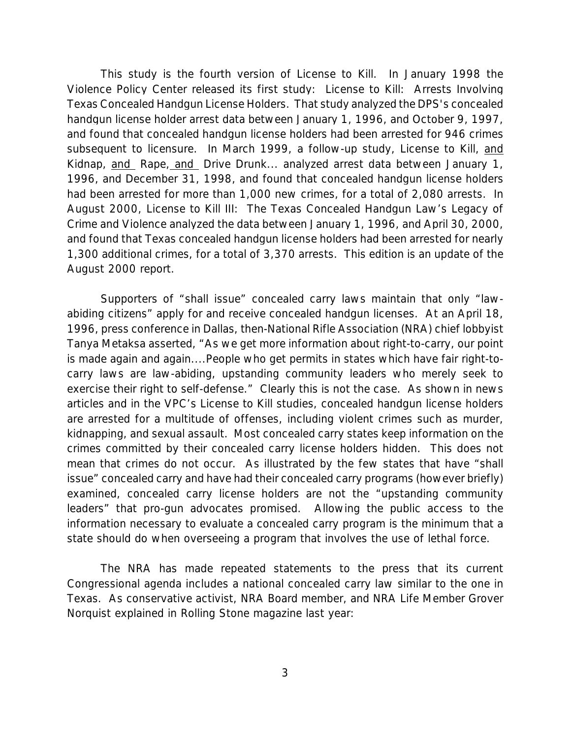This study is the fourth version of *License to Kill.* In January 1998 the Violence Policy Center released its first study: *License to Kill: Arrests Involving Texas Concealed Handgun License Holders*. That study analyzed the DPS's concealed handgun license holder arrest data between January 1, 1996, and October 9, 1997, and found that concealed handgun license holders had been arrested for 946 crimes subsequent to licensure. In March 1999, a follow-up study, *License to Kill, and Kidnap, and Rape, and Drive Drunk...* analyzed arrest data between January 1, 1996, and December 31, 1998, and found that concealed handgun license holders had been arrested for more than 1,000 new crimes, for a total of 2,080 arrests. In August 2000, *License to Kill III: The Texas Concealed Handgun Law's Legacy of Crime and Violence* analyzed the data between January 1, 1996, and April 30, 2000, and found that Texas concealed handgun license holders had been arrested for nearly 1,300 additional crimes, for a total of 3,370 arrests. This edition is an update of the August 2000 report.

Supporters of "shall issue" concealed carry laws maintain that only "lawabiding citizens" apply for and receive concealed handgun licenses. At an April 18, 1996, press conference in Dallas, then-National Rifle Association (NRA) chief lobbyist Tanya Metaksa asserted, "As we get more information about right-to-carry, our point is made again and again....People who get permits in states which have fair right-tocarry laws are law-abiding, upstanding community leaders who merely seek to exercise their right to self-defense." Clearly this is not the case. As shown in news articles and in the VPC's *License to Kill* studies, concealed handgun license holders are arrested for a multitude of offenses, including violent crimes such as murder, kidnapping, and sexual assault. Most concealed carry states keep information on the crimes committed by their concealed carry license holders hidden. This does not mean that crimes do not occur. As illustrated by the few states that have "shall issue" concealed carry and have had their concealed carry programs (however briefly) examined, concealed carry license holders are not the "upstanding community leaders" that pro-gun advocates promised. Allowing the public access to the information necessary to evaluate a concealed carry program is the minimum that a state should do when overseeing a program that involves the use of lethal force.

The NRA has made repeated statements to the press that its current Congressional agenda includes a national concealed carry law similar to the one in Texas. As conservative activist, NRA Board member, and NRA Life Member Grover Norquist explained in *Rolling Stone* magazine last year: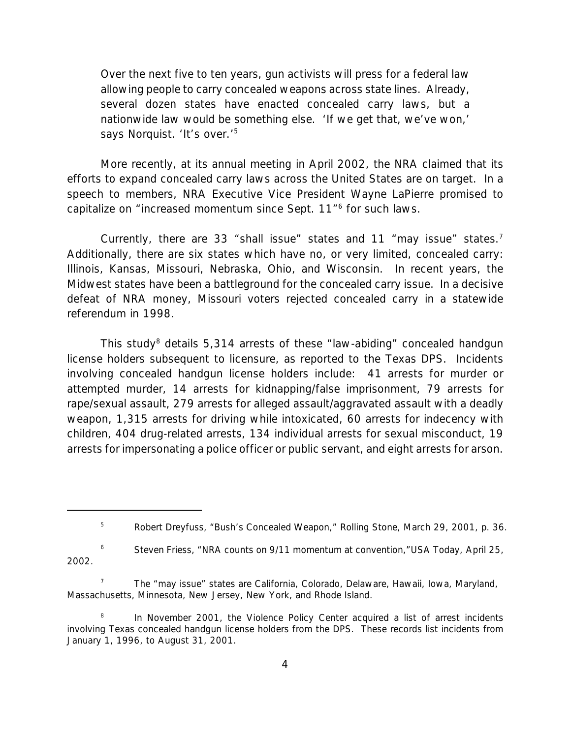Over the next five to ten years, gun activists will press for a federal law allowing people to carry concealed weapons across state lines. Already, several dozen states have enacted concealed carry laws, but a nationwide law would be something else. 'If we get that, we've won,' says Norquist. 'It's over.'<sup>5</sup>

More recently, at its annual meeting in April 2002, the NRA claimed that its efforts to expand concealed carry laws across the United States are on target. In a speech to members, NRA Executive Vice President Wayne LaPierre promised to capitalize on "increased momentum since Sept. 11"<sup>6</sup> for such laws.

Currently, there are 33 "shall issue" states and 11 "may issue" states.<sup>7</sup> Additionally, there are six states which have no, or very limited, concealed carry: Illinois, Kansas, Missouri, Nebraska, Ohio, and Wisconsin. In recent years, the Midwest states have been a battleground for the concealed carry issue. In a decisive defeat of NRA money, Missouri voters rejected concealed carry in a statewide referendum in 1998.

This study<sup>8</sup> details 5,314 arrests of these "law-abiding" concealed handgun license holders subsequent to licensure, as reported to the Texas DPS. Incidents involving concealed handgun license holders include: 41 arrests for murder or attempted murder, 14 arrests for kidnapping/false imprisonment, 79 arrests for rape/sexual assault, 279 arrests for alleged assault/aggravated assault with a deadly weapon, 1,315 arrests for driving while intoxicated, 60 arrests for indecency with children, 404 drug-related arrests, 134 individual arrests for sexual misconduct, 19 arrests for impersonating a police officer or public servant, and eight arrests for arson.

6 Steven Friess, "NRA counts on 9/11 momentum at convention,"*USA Today*, April 25, 2002.

7 The "may issue" states are California, Colorado, Delaware, Hawaii, Iowa, Maryland, Massachusetts, Minnesota, New Jersey, New York, and Rhode Island.

8 In November 2001, the Violence Policy Center acquired a list of arrest incidents involving Texas concealed handgun license holders from the DPS. These records list incidents from January 1, 1996, to August 31, 2001.

<sup>5</sup> Robert Dreyfuss, "Bush's Concealed Weapon," *Rolling Stone*, March 29, 2001, p. 36.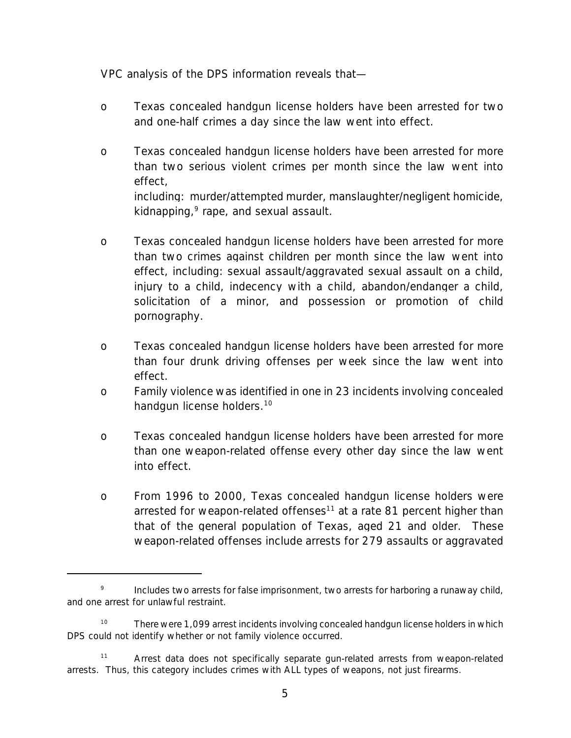VPC analysis of the DPS information reveals that—

- o Texas concealed handgun license holders have been arrested for *two and one-half crimes a day* since the law went into effect.
- o Texas concealed handgun license holders have been arrested for *more than two serious violent crimes per month* since the law went into effect, including: murder/attempted murder, manslaughter/negligent homicide, kidnapping,<sup>9</sup> rape, and sexual assault.
- o Texas concealed handgun license holders have been arrested for *more than two crimes against children per month* since the law went into effect, including: sexual assault/aggravated sexual assault on a child, injury to a child, indecency with a child, abandon/endanger a child, solicitation of a minor, and possession or promotion of child pornography.
- o Texas concealed handgun license holders have been arrested for *more than four drunk driving offenses per week* since the law went into effect.
- o Family violence was identified in *one in 23 incidents* involving concealed handgun license holders.<sup>10</sup>
- o Texas concealed handgun license holders have been arrested for *more than one weapon-related offense every other day* since the law went into effect.
- o From 1996 to 2000, Texas concealed handgun license holders were arrested for weapon-related offenses<sup>11</sup> at a rate 81 percent higher than *that of the general population of Texas, aged 21 and older.* These weapon-related offenses include arrests for 279 assaults or aggravated

<sup>9</sup> Includes two arrests for false imprisonment, two arrests for harboring a runaway child, and one arrest for unlawful restraint.

<sup>&</sup>lt;sup>10</sup> There were 1,099 arrest incidents involving concealed handgun license holders in which DPS could not identify whether or not family violence occurred.

<sup>&</sup>lt;sup>11</sup> Arrest data does not specifically separate gun-related arrests from weapon-related arrests. Thus, this category includes crimes with ALL types of weapons, not just firearms.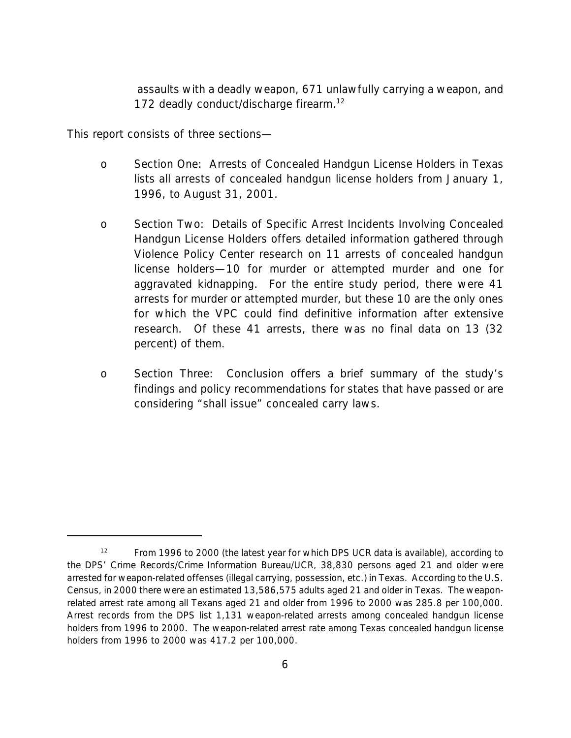assaults with a deadly weapon, 671 unlawfully carrying a weapon, and 172 deadly conduct/discharge firearm.<sup>12</sup>

This report consists of three sections—

- o *Section One: Arrests of Concealed Handgun License Holders in Texas* lists all arrests of concealed handgun license holders from January 1, 1996, to August 31, 2001.
- o *Section Two: Details of Specific Arrest Incidents Involving Concealed Handgun License Holders* offers detailed information gathered through Violence Policy Center research on 11 arrests of concealed handgun license holders—10 for murder or attempted murder and one for aggravated kidnapping. For the entire study period, there were 41 arrests for murder or attempted murder, but these 10 are the only ones for which the VPC could find definitive information after extensive research. Of these 41 arrests, there was no final data on 13 (32 percent) of them.
- o *Section Three: Conclusion* offers a brief summary of the study's findings and policy recommendations for states that have passed or are considering "shall issue" concealed carry laws.

<sup>&</sup>lt;sup>12</sup> From 1996 to 2000 (the latest year for which DPS UCR data is available), according to the DPS' Crime Records/Crime Information Bureau/UCR, 38,830 persons aged 21 and older were arrested for weapon-related offenses (illegal carrying, possession, etc.) in Texas. According to the U.S. Census, in 2000 there were an estimated 13,586,575 adults aged 21 and older in Texas. The weaponrelated arrest rate among all Texans aged 21 and older from 1996 to 2000 was 285.8 per 100,000. Arrest records from the DPS list 1,131 weapon-related arrests among concealed handgun license holders from 1996 to 2000. The weapon-related arrest rate among Texas concealed handgun license holders from 1996 to 2000 was 417.2 per 100,000.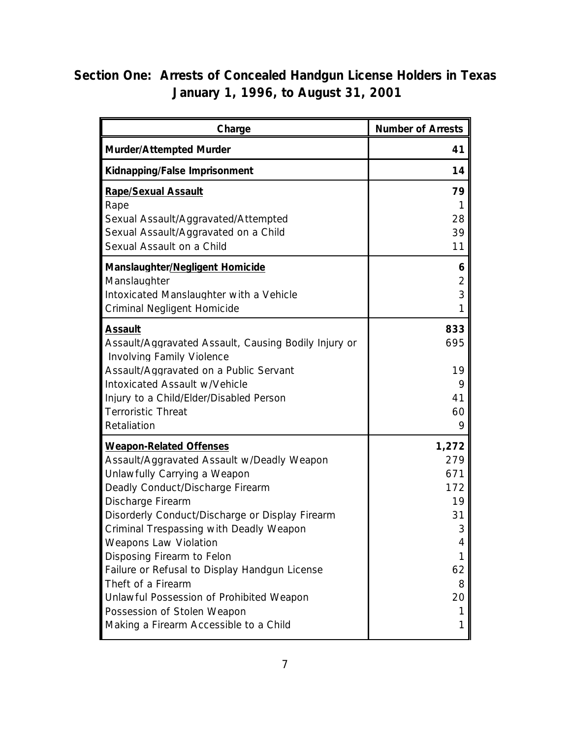# **Section One: Arrests of Concealed Handgun License Holders in Texas January 1, 1996, to August 31, 2001**

| Charge                                                                                                                                                                                                                                                                                                                                                                                                                                                                                                                        | <b>Number of Arrests</b>                                                    |
|-------------------------------------------------------------------------------------------------------------------------------------------------------------------------------------------------------------------------------------------------------------------------------------------------------------------------------------------------------------------------------------------------------------------------------------------------------------------------------------------------------------------------------|-----------------------------------------------------------------------------|
| Murder/Attempted Murder                                                                                                                                                                                                                                                                                                                                                                                                                                                                                                       | 41                                                                          |
| Kidnapping/False Imprisonment                                                                                                                                                                                                                                                                                                                                                                                                                                                                                                 | 14                                                                          |
| <b>Rape/Sexual Assault</b><br>Rape                                                                                                                                                                                                                                                                                                                                                                                                                                                                                            | 79<br>1                                                                     |
| Sexual Assault/Aggravated/Attempted<br>Sexual Assault/Aggravated on a Child<br>Sexual Assault on a Child                                                                                                                                                                                                                                                                                                                                                                                                                      | 28<br>39<br>11                                                              |
| Manslaughter/Negligent Homicide<br>Manslaughter<br>Intoxicated Manslaughter with a Vehicle<br>Criminal Negligent Homicide                                                                                                                                                                                                                                                                                                                                                                                                     | 6<br>2<br>3<br>1                                                            |
| <b>Assault</b><br>Assault/Aggravated Assault, Causing Bodily Injury or<br><b>Involving Family Violence</b>                                                                                                                                                                                                                                                                                                                                                                                                                    | 833<br>695                                                                  |
| Assault/Aggravated on a Public Servant<br>Intoxicated Assault w/Vehicle<br>Injury to a Child/Elder/Disabled Person<br><b>Terroristic Threat</b><br>Retaliation                                                                                                                                                                                                                                                                                                                                                                | 19<br>9<br>41<br>60<br>9                                                    |
| <b>Weapon-Related Offenses</b><br>Assault/Aggravated Assault w/Deadly Weapon<br>Unlawfully Carrying a Weapon<br>Deadly Conduct/Discharge Firearm<br>Discharge Firearm<br>Disorderly Conduct/Discharge or Display Firearm<br>Criminal Trespassing with Deadly Weapon<br><b>Weapons Law Violation</b><br>Disposing Firearm to Felon<br>Failure or Refusal to Display Handgun License<br>Theft of a Firearm<br>Unlawful Possession of Prohibited Weapon<br>Possession of Stolen Weapon<br>Making a Firearm Accessible to a Child | 1,272<br>279<br>671<br>172<br>19<br>31<br>3<br>4<br>62<br>8<br>20<br>1<br>1 |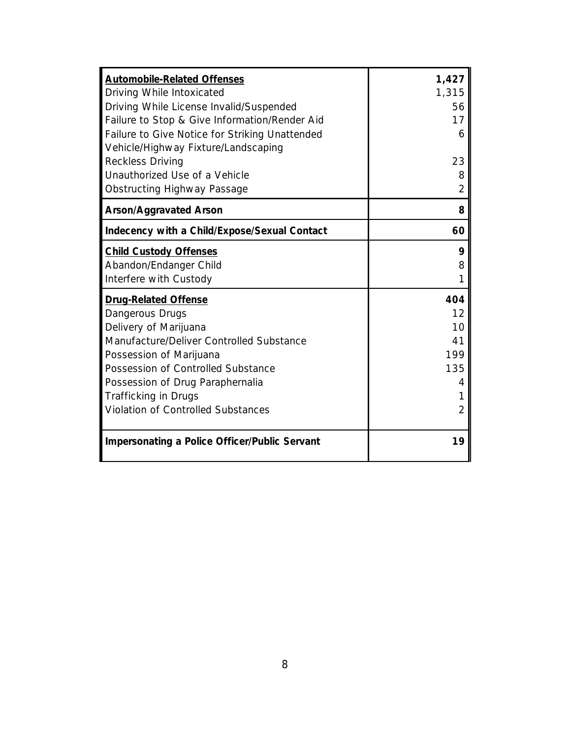| <b>Automobile-Related Offenses</b><br>Driving While Intoxicated<br>Driving While License Invalid/Suspended<br>Failure to Stop & Give Information/Render Aid<br>Failure to Give Notice for Striking Unattended<br>Vehicle/Highway Fixture/Landscaping                                                 | 1,427<br>1,315<br>56<br>17<br>6               |
|------------------------------------------------------------------------------------------------------------------------------------------------------------------------------------------------------------------------------------------------------------------------------------------------------|-----------------------------------------------|
| <b>Reckless Driving</b><br>Unauthorized Use of a Vehicle<br><b>Obstructing Highway Passage</b>                                                                                                                                                                                                       | 23<br>8<br>2                                  |
| <b>Arson/Aggravated Arson</b>                                                                                                                                                                                                                                                                        | 8                                             |
| Indecency with a Child/Expose/Sexual Contact                                                                                                                                                                                                                                                         | 60                                            |
| <b>Child Custody Offenses</b><br>Abandon/Endanger Child<br>Interfere with Custody                                                                                                                                                                                                                    | 9<br>8                                        |
| <b>Drug-Related Offense</b><br>Dangerous Drugs<br>Delivery of Marijuana<br>Manufacture/Deliver Controlled Substance<br>Possession of Marijuana<br>Possession of Controlled Substance<br>Possession of Drug Paraphernalia<br><b>Trafficking in Drugs</b><br><b>Violation of Controlled Substances</b> | 404<br>12<br>10<br>41<br>199<br>135<br>4<br>2 |
| <b>Impersonating a Police Officer/Public Servant</b>                                                                                                                                                                                                                                                 | 19                                            |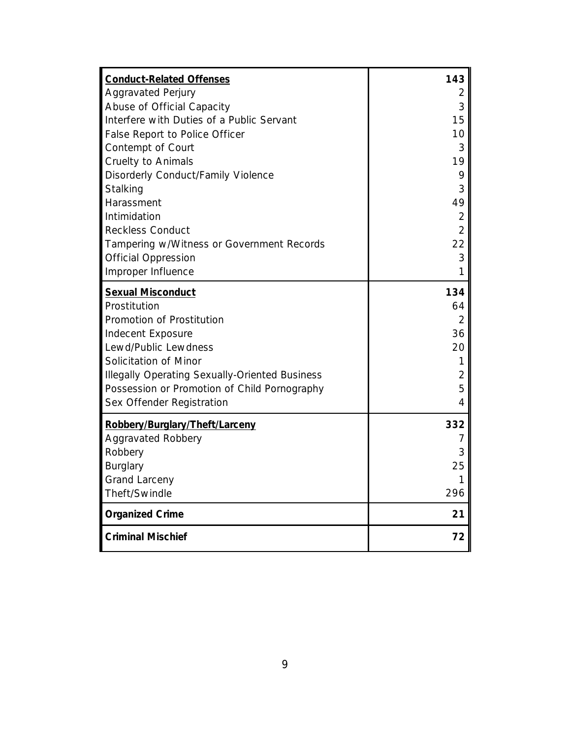| <b>Conduct-Related Offenses</b>                       | 143            |
|-------------------------------------------------------|----------------|
| <b>Aggravated Perjury</b>                             | $\overline{2}$ |
| Abuse of Official Capacity                            | 3              |
| Interfere with Duties of a Public Servant             | 15             |
| False Report to Police Officer                        | 10             |
| Contempt of Court                                     | 3              |
| <b>Cruelty to Animals</b>                             | 19             |
| Disorderly Conduct/Family Violence                    | 9              |
| Stalking                                              | 3              |
| Harassment                                            | 49             |
| Intimidation                                          | $\overline{2}$ |
| <b>Reckless Conduct</b>                               | $\overline{2}$ |
| Tampering w/Witness or Government Records             | 22             |
| <b>Official Oppression</b>                            | 3              |
| Improper Influence                                    | 1              |
| <b>Sexual Misconduct</b>                              | 134            |
| Prostitution                                          | 64             |
| Promotion of Prostitution                             | $\overline{2}$ |
| Indecent Exposure                                     | 36             |
| Lewd/Public Lewdness                                  | 20             |
| Solicitation of Minor                                 | 1              |
| <b>Illegally Operating Sexually-Oriented Business</b> | $\overline{2}$ |
| Possession or Promotion of Child Pornography          | 5              |
| Sex Offender Registration                             | 4              |
| Robbery/Burglary/Theft/Larceny                        | 332            |
| <b>Aggravated Robbery</b>                             | 7              |
| Robbery                                               | 3              |
| Burglary                                              | 25             |
| <b>Grand Larceny</b>                                  | 1              |
| Theft/Swindle                                         | 296            |
| <b>Organized Crime</b>                                | 21             |
| <b>Criminal Mischief</b>                              | 72             |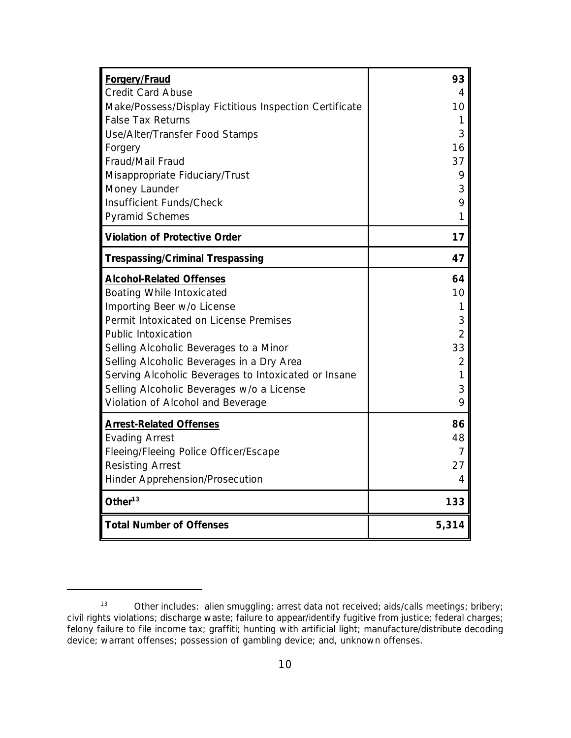| <b>Forgery/Fraud</b><br><b>Credit Card Abuse</b><br>Make/Possess/Display Fictitious Inspection Certificate<br><b>False Tax Returns</b><br>Use/Alter/Transfer Food Stamps<br>Forgery<br>Fraud/Mail Fraud<br>Misappropriate Fiduciary/Trust<br>Money Launder<br>Insufficient Funds/Check<br>Pyramid Schemes                                                                                           | 93<br>4<br>10<br>3<br>16<br>37<br>9<br>3<br>9<br>1 |
|-----------------------------------------------------------------------------------------------------------------------------------------------------------------------------------------------------------------------------------------------------------------------------------------------------------------------------------------------------------------------------------------------------|----------------------------------------------------|
| <b>Violation of Protective Order</b>                                                                                                                                                                                                                                                                                                                                                                | 17                                                 |
| <b>Trespassing/Criminal Trespassing</b>                                                                                                                                                                                                                                                                                                                                                             | 47                                                 |
| <b>Alcohol-Related Offenses</b><br>Boating While Intoxicated<br>Importing Beer w/o License<br>Permit Intoxicated on License Premises<br><b>Public Intoxication</b><br>Selling Alcoholic Beverages to a Minor<br>Selling Alcoholic Beverages in a Dry Area<br>Serving Alcoholic Beverages to Intoxicated or Insane<br>Selling Alcoholic Beverages w/o a License<br>Violation of Alcohol and Beverage | 64<br>10<br>3<br>2<br>33<br>2<br>1<br>3<br>9       |
| <b>Arrest-Related Offenses</b><br><b>Evading Arrest</b><br>Fleeing/Fleeing Police Officer/Escape<br><b>Resisting Arrest</b><br>Hinder Apprehension/Prosecution                                                                                                                                                                                                                                      | 86<br>48<br>7<br>27<br>4                           |
| Other $^{13}$                                                                                                                                                                                                                                                                                                                                                                                       | 133                                                |
| <b>Total Number of Offenses</b>                                                                                                                                                                                                                                                                                                                                                                     | 5,314                                              |

<sup>13</sup> Other includes: alien smuggling; arrest data not received; aids/calls meetings; bribery; civil rights violations; discharge waste; failure to appear/identify fugitive from justice; federal charges; felony failure to file income tax; graffiti; hunting with artificial light; manufacture/distribute decoding device; warrant offenses; possession of gambling device; and, unknown offenses.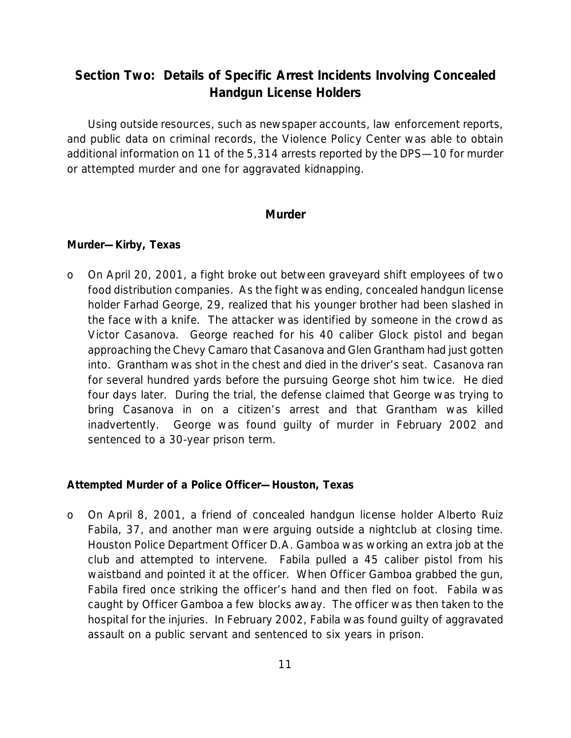## **Section Two: Details of Specific Arrest Incidents Involving Concealed Handgun License Holders**

Using outside resources, such as newspaper accounts, law enforcement reports, and public data on criminal records, the Violence Policy Center was able to obtain additional information on 11 of the 5,314 arrests reported by the DPS—10 for murder or attempted murder and one for aggravated kidnapping.

#### **Murder**

#### *Murder—Kirby, Texas*

o On April 20, 2001, a fight broke out between graveyard shift employees of two food distribution companies. As the fight was ending, concealed handgun license holder Farhad George, 29, realized that his younger brother had been slashed in the face with a knife. The attacker was identified by someone in the crowd as Victor Casanova. George reached for his 40 caliber Glock pistol and began approaching the Chevy Camaro that Casanova and Glen Grantham had just gotten into. Grantham was shot in the chest and died in the driver's seat. Casanova ran for several hundred yards before the pursuing George shot him twice. He died four days later. During the trial, the defense claimed that George was trying to bring Casanova in on a citizen's arrest and that Grantham was killed inadvertently. George was found guilty of murder in February 2002 and sentenced to a 30-year prison term.

#### *Attempted Murder of a Police Officer—Houston, Texas*

o On April 8, 2001, a friend of concealed handgun license holder Alberto Ruiz Fabila, 37, and another man were arguing outside a nightclub at closing time. Houston Police Department Officer D.A. Gamboa was working an extra job at the club and attempted to intervene. Fabila pulled a 45 caliber pistol from his waistband and pointed it at the officer. When Officer Gamboa grabbed the gun, Fabila fired once striking the officer's hand and then fled on foot. Fabila was caught by Officer Gamboa a few blocks away. The officer was then taken to the hospital for the injuries. In February 2002, Fabila was found guilty of aggravated assault on a public servant and sentenced to six years in prison.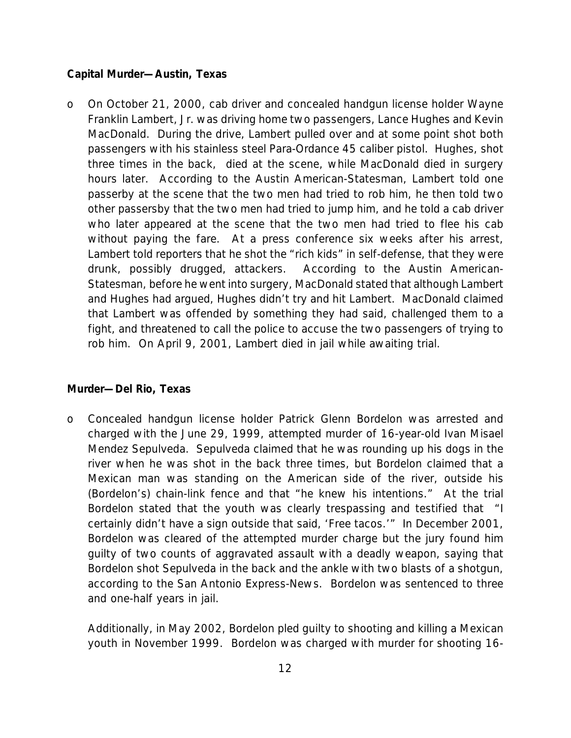#### *Capital Murder—Austin, Texas*

o On October 21, 2000, cab driver and concealed handgun license holder Wayne Franklin Lambert, Jr. was driving home two passengers, Lance Hughes and Kevin MacDonald. During the drive, Lambert pulled over and at some point shot both passengers with his stainless steel Para-Ordance 45 caliber pistol. Hughes, shot three times in the back, died at the scene, while MacDonald died in surgery hours later. According to the *Austin American-Statesman*, Lambert told one passerby at the scene that the two men had tried to rob him, he then told two other passersby that the two men had tried to jump him, and he told a cab driver who later appeared at the scene that the two men had tried to flee his cab without paying the fare. At a press conference six weeks after his arrest, Lambert told reporters that he shot the "rich kids" in self-defense, that they were drunk, possibly drugged, attackers. According to the *Austin American-Statesman*, before he went into surgery, MacDonald stated that although Lambert and Hughes had argued, Hughes didn't try and hit Lambert. MacDonald claimed that Lambert was offended by something they had said, challenged them to a fight, and threatened to call the police to accuse the two passengers of trying to rob him. On April 9, 2001, Lambert died in jail while awaiting trial.

#### *Murder—Del Rio, Texas*

o Concealed handgun license holder Patrick Glenn Bordelon was arrested and charged with the June 29, 1999, attempted murder of 16-year-old Ivan Misael Mendez Sepulveda. Sepulveda claimed that he was rounding up his dogs in the river when he was shot in the back three times, but Bordelon claimed that a Mexican man was standing on the American side of the river, outside his (Bordelon's) chain-link fence and that "he knew his intentions." At the trial Bordelon stated that the youth was clearly trespassing and testified that "I certainly didn't have a sign outside that said, 'Free tacos.'" In December 2001, Bordelon was cleared of the attempted murder charge but the jury found him guilty of two counts of aggravated assault with a deadly weapon, saying that Bordelon shot Sepulveda in the back and the ankle with two blasts of a shotgun, according to the *San Antonio Express-News*. Bordelon was sentenced to three and one-half years in jail.

Additionally, in May 2002, Bordelon pled guilty to shooting and killing a Mexican youth in November 1999. Bordelon was charged with murder for shooting 16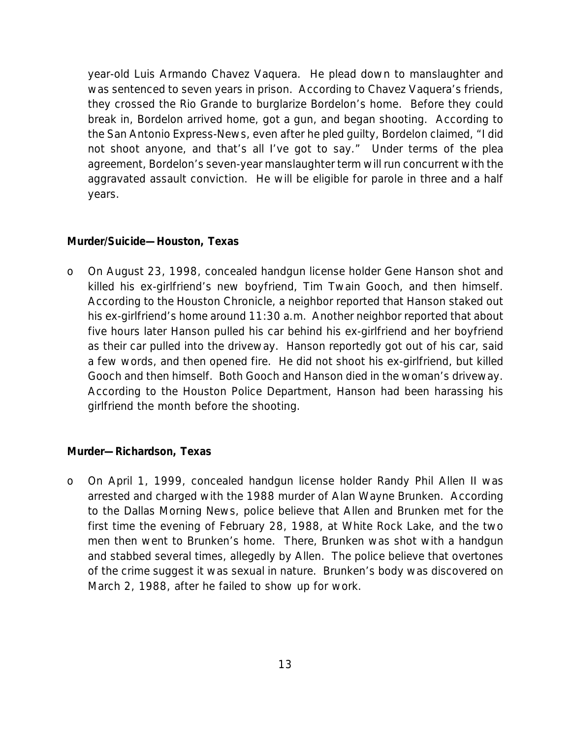year-old Luis Armando Chavez Vaquera. He plead down to manslaughter and was sentenced to seven years in prison. According to Chavez Vaquera's friends, they crossed the Rio Grande to burglarize Bordelon's home. Before they could break in, Bordelon arrived home, got a gun, and began shooting. According to the *San Antonio Express-News,* even after he pled guilty, Bordelon claimed, "I did not shoot anyone, and that's all I've got to say." Under terms of the plea agreement, Bordelon's seven-year manslaughter term will run concurrent with the aggravated assault conviction. He will be eligible for parole in three and a half years.

#### *Murder/Suicide—Houston, Texas*

o On August 23, 1998, concealed handgun license holder Gene Hanson shot and killed his ex-girlfriend's new boyfriend, Tim Twain Gooch, and then himself. According to the *Houston Chronicle*, a neighbor reported that Hanson staked out his ex-girlfriend's home around 11:30 a.m. Another neighbor reported that about five hours later Hanson pulled his car behind his ex-girlfriend and her boyfriend as their car pulled into the driveway. Hanson reportedly got out of his car, said a few words, and then opened fire. He did not shoot his ex-girlfriend, but killed Gooch and then himself. Both Gooch and Hanson died in the woman's driveway. According to the Houston Police Department, Hanson had been harassing his girlfriend the month before the shooting.

#### *Murder—Richardson, Texas*

o On April 1, 1999, concealed handgun license holder Randy Phil Allen II was arrested and charged with the 1988 murder of Alan Wayne Brunken. According to the *Dallas Morning News*, police believe that Allen and Brunken met for the first time the evening of February 28, 1988, at White Rock Lake, and the two men then went to Brunken's home. There, Brunken was shot with a handgun and stabbed several times, allegedly by Allen. The police believe that overtones of the crime suggest it was sexual in nature. Brunken's body was discovered on March 2, 1988, after he failed to show up for work.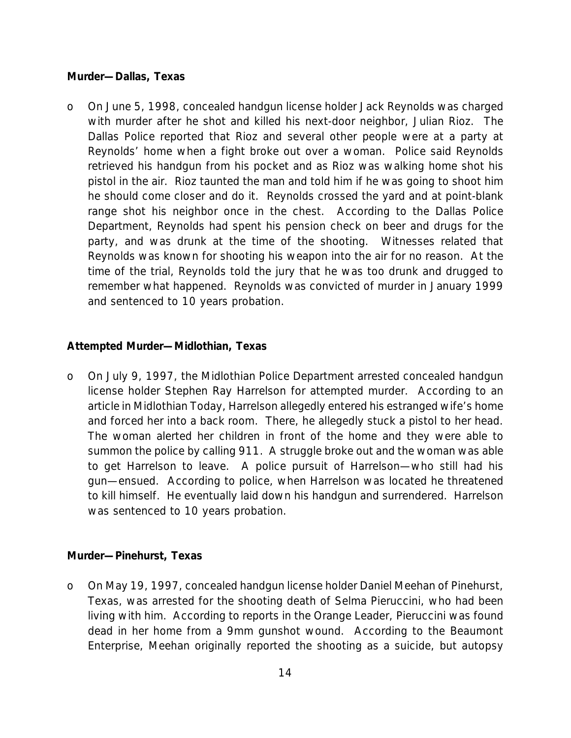#### *Murder—Dallas, Texas*

o On June 5, 1998, concealed handgun license holder Jack Reynolds was charged with murder after he shot and killed his next-door neighbor, Julian Rioz. The Dallas Police reported that Rioz and several other people were at a party at Reynolds' home when a fight broke out over a woman. Police said Reynolds retrieved his handgun from his pocket and as Rioz was walking home shot his pistol in the air. Rioz taunted the man and told him if he was going to shoot him he should come closer and do it. Reynolds crossed the yard and at point-blank range shot his neighbor once in the chest. According to the Dallas Police Department, Reynolds had spent his pension check on beer and drugs for the party, and was drunk at the time of the shooting. Witnesses related that Reynolds was known for shooting his weapon into the air for no reason. At the time of the trial, Reynolds told the jury that he was too drunk and drugged to remember what happened. Reynolds was convicted of murder in January 1999 and sentenced to 10 years probation.

#### *Attempted Murder—Midlothian, Texas*

o On July 9, 1997, the Midlothian Police Department arrested concealed handgun license holder Stephen Ray Harrelson for attempted murder. According to an article in *Midlothian Today*, Harrelson allegedly entered his estranged wife's home and forced her into a back room. There, he allegedly stuck a pistol to her head. The woman alerted her children in front of the home and they were able to summon the police by calling 911. A struggle broke out and the woman was able to get Harrelson to leave. A police pursuit of Harrelson—who still had his gun—ensued. According to police, when Harrelson was located he threatened to kill himself. He eventually laid down his handgun and surrendered. Harrelson was sentenced to 10 years probation.

#### *Murder—Pinehurst, Texas*

o On May 19, 1997, concealed handgun license holder Daniel Meehan of Pinehurst, Texas, was arrested for the shooting death of Selma Pieruccini, who had been living with him. According to reports in the *Orange Leader*, Pieruccini was found dead in her home from a 9mm gunshot wound. According to the *Beaumont Enterprise,* Meehan originally reported the shooting as a suicide, but autopsy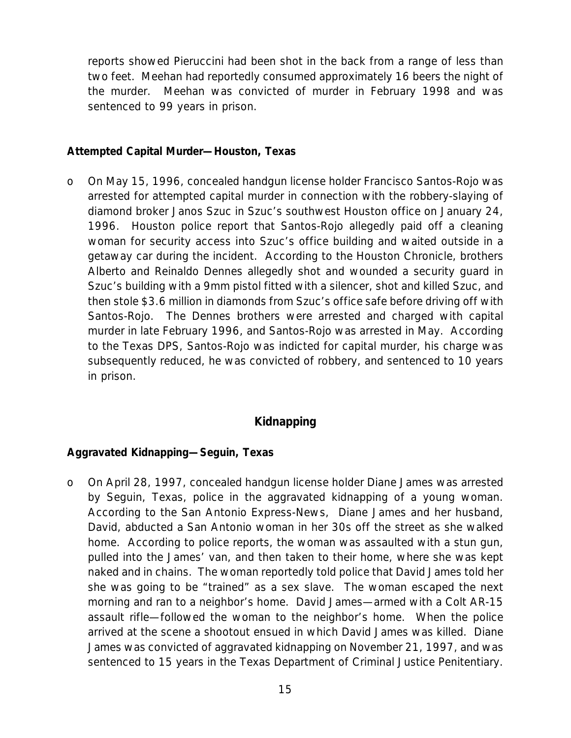reports showed Pieruccini had been shot in the back from a range of less than two feet. Meehan had reportedly consumed approximately 16 beers the night of the murder. Meehan was convicted of murder in February 1998 and was sentenced to 99 years in prison.

#### *Attempted Capital Murder—Houston, Texas*

o On May 15, 1996, concealed handgun license holder Francisco Santos-Rojo was arrested for attempted capital murder in connection with the robbery-slaying of diamond broker Janos Szuc in Szuc's southwest Houston office on January 24, 1996. Houston police report that Santos-Rojo allegedly paid off a cleaning woman for security access into Szuc's office building and waited outside in a getaway car during the incident. According to the *Houston Chronicle*, brothers Alberto and Reinaldo Dennes allegedly shot and wounded a security guard in Szuc's building with a 9mm pistol fitted with a silencer, shot and killed Szuc, and then stole \$3.6 million in diamonds from Szuc's office safe before driving off with Santos-Rojo. The Dennes brothers were arrested and charged with capital murder in late February 1996, and Santos-Rojo was arrested in May. According to the Texas DPS, Santos-Rojo was indicted for capital murder, his charge was subsequently reduced, he was convicted of robbery, and sentenced to 10 years in prison.

#### **Kidnapping**

#### *Aggravated Kidnapping—Seguin, Texas*

o On April 28, 1997, concealed handgun license holder Diane James was arrested by Seguin, Texas, police in the aggravated kidnapping of a young woman. According to the *San Antonio Express-News*, Diane James and her husband, David, abducted a San Antonio woman in her 30s off the street as she walked home. According to police reports, the woman was assaulted with a stun gun, pulled into the James' van, and then taken to their home, where she was kept naked and in chains. The woman reportedly told police that David James told her she was going to be "trained" as a sex slave. The woman escaped the next morning and ran to a neighbor's home. David James—armed with a Colt AR-15 assault rifle—followed the woman to the neighbor's home. When the police arrived at the scene a shootout ensued in which David James was killed. Diane James was convicted of aggravated kidnapping on November 21, 1997, and was sentenced to 15 years in the Texas Department of Criminal Justice Penitentiary.